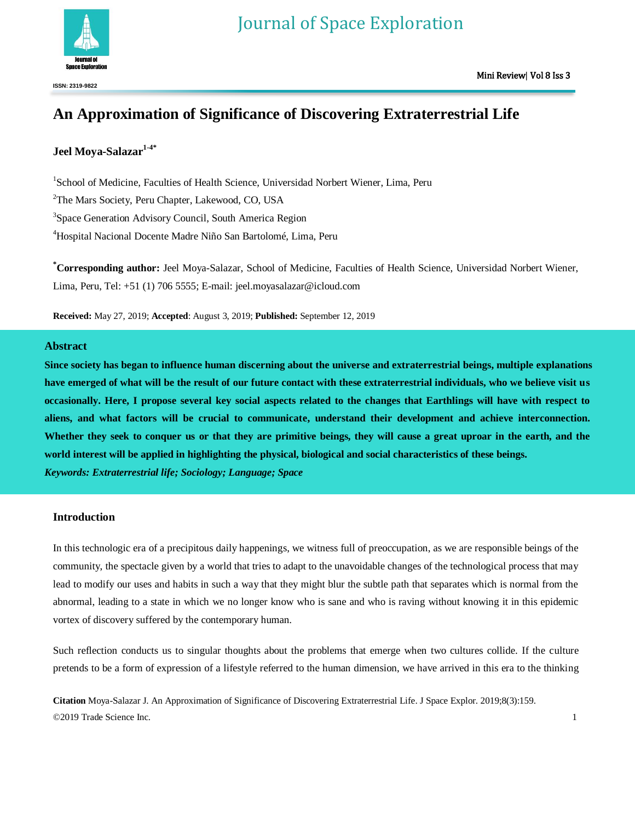

# **An Approximation of Significance of Discovering Extraterrestrial Life**

# **Jeel Moya-Salazar1-4\***

<sup>1</sup>School of Medicine, Faculties of Health Science, Universidad Norbert Wiener, Lima, Peru <sup>2</sup>The Mars Society, Peru Chapter, Lakewood, CO, USA <sup>3</sup>Space Generation Advisory Council, South America Region <sup>4</sup>Hospital Nacional Docente Madre Niño San Bartolomé, Lima, Peru

**\*Corresponding author:** Jeel Moya-Salazar, School of Medicine, Faculties of Health Science, Universidad Norbert Wiener, Lima, Peru, Tel: +51 (1) 706 5555; E-mail: jeel.moyasalazar@icloud.com

**Received:** May 27, 2019; **Accepted**: August 3, 2019; **Published:** September 12, 2019

# **Abstract**

**Since society has began to influence human discerning about the universe and extraterrestrial beings, multiple explanations have emerged of what will be the result of our future contact with these extraterrestrial individuals, who we believe visit us occasionally. Here, I propose several key social aspects related to the changes that Earthlings will have with respect to aliens, and what factors will be crucial to communicate, understand their development and achieve interconnection. Whether they seek to conquer us or that they are primitive beings, they will cause a great uproar in the earth, and the world interest will be applied in highlighting the physical, biological and social characteristics of these beings.** *Keywords: Extraterrestrial life; Sociology; Language; Space*

# **Introduction**

In this technologic era of a precipitous daily happenings, we witness full of preoccupation, as we are responsible beings of the community, the spectacle given by a world that tries to adapt to the unavoidable changes of the technological process that may lead to modify our uses and habits in such a way that they might blur the subtle path that separates which is normal from the abnormal, leading to a state in which we no longer know who is sane and who is raving without knowing it in this epidemic vortex of discovery suffered by the contemporary human.

Such reflection conducts us to singular thoughts about the problems that emerge when two cultures collide. If the culture pretends to be a form of expression of a lifestyle referred to the human dimension, we have arrived in this era to the thinking

**Citation** Moya-Salazar J. An Approximation of Significance of Discovering Extraterrestrial Life. J Space Explor. 2019;8(3):159. ©2019 Trade Science Inc. 1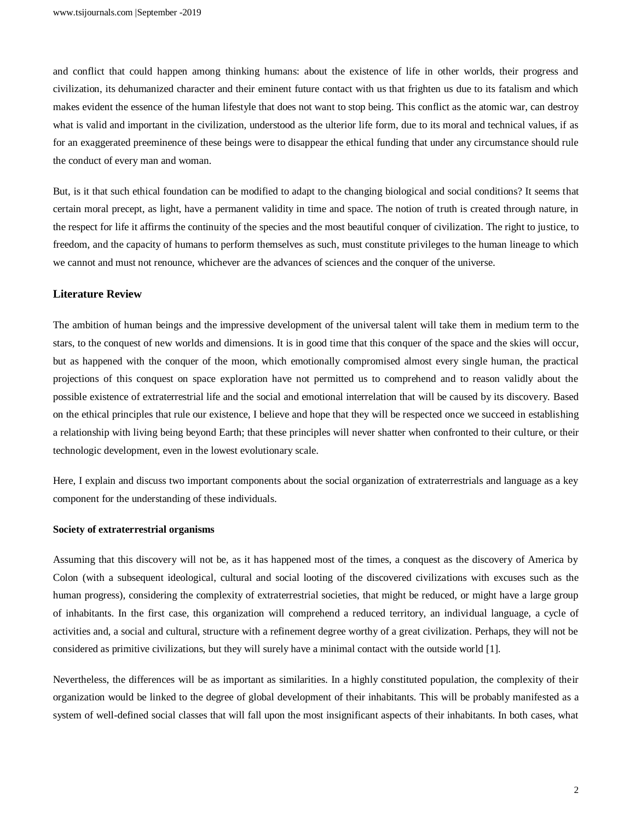and conflict that could happen among thinking humans: about the existence of life in other worlds, their progress and civilization, its dehumanized character and their eminent future contact with us that frighten us due to its fatalism and which makes evident the essence of the human lifestyle that does not want to stop being. This conflict as the atomic war, can destroy what is valid and important in the civilization, understood as the ulterior life form, due to its moral and technical values, if as for an exaggerated preeminence of these beings were to disappear the ethical funding that under any circumstance should rule the conduct of every man and woman.

But, is it that such ethical foundation can be modified to adapt to the changing biological and social conditions? It seems that certain moral precept, as light, have a permanent validity in time and space. The notion of truth is created through nature, in the respect for life it affirms the continuity of the species and the most beautiful conquer of civilization. The right to justice, to freedom, and the capacity of humans to perform themselves as such, must constitute privileges to the human lineage to which we cannot and must not renounce, whichever are the advances of sciences and the conquer of the universe.

## **Literature Review**

The ambition of human beings and the impressive development of the universal talent will take them in medium term to the stars, to the conquest of new worlds and dimensions. It is in good time that this conquer of the space and the skies will occur, but as happened with the conquer of the moon, which emotionally compromised almost every single human, the practical projections of this conquest on space exploration have not permitted us to comprehend and to reason validly about the possible existence of extraterrestrial life and the social and emotional interrelation that will be caused by its discovery. Based on the ethical principles that rule our existence, I believe and hope that they will be respected once we succeed in establishing a relationship with living being beyond Earth; that these principles will never shatter when confronted to their culture, or their technologic development, even in the lowest evolutionary scale.

Here, I explain and discuss two important components about the social organization of extraterrestrials and language as a key component for the understanding of these individuals.

### **Society of extraterrestrial organisms**

Assuming that this discovery will not be, as it has happened most of the times, a conquest as the discovery of America by Colon (with a subsequent ideological, cultural and social looting of the discovered civilizations with excuses such as the human progress), considering the complexity of extraterrestrial societies, that might be reduced, or might have a large group of inhabitants. In the first case, this organization will comprehend a reduced territory, an individual language, a cycle of activities and, a social and cultural, structure with a refinement degree worthy of a great civilization. Perhaps, they will not be considered as primitive civilizations, but they will surely have a minimal contact with the outside world [1].

Nevertheless, the differences will be as important as similarities. In a highly constituted population, the complexity of their organization would be linked to the degree of global development of their inhabitants. This will be probably manifested as a system of well-defined social classes that will fall upon the most insignificant aspects of their inhabitants. In both cases, what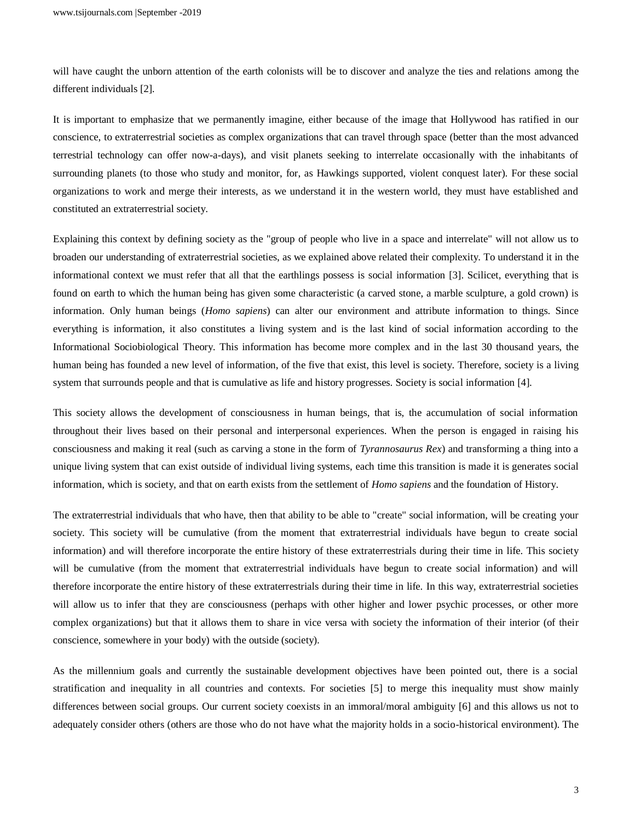will have caught the unborn attention of the earth colonists will be to discover and analyze the ties and relations among the different individuals [2].

It is important to emphasize that we permanently imagine, either because of the image that Hollywood has ratified in our conscience, to extraterrestrial societies as complex organizations that can travel through space (better than the most advanced terrestrial technology can offer now-a-days), and visit planets seeking to interrelate occasionally with the inhabitants of surrounding planets (to those who study and monitor, for, as Hawkings supported, violent conquest later). For these social organizations to work and merge their interests, as we understand it in the western world, they must have established and constituted an extraterrestrial society.

Explaining this context by defining society as the "group of people who live in a space and interrelate" will not allow us to broaden our understanding of extraterrestrial societies, as we explained above related their complexity. To understand it in the informational context we must refer that all that the earthlings possess is social information [3]. Scilicet, everything that is found on earth to which the human being has given some characteristic (a carved stone, a marble sculpture, a gold crown) is information. Only human beings (*Homo sapiens*) can alter our environment and attribute information to things. Since everything is information, it also constitutes a living system and is the last kind of social information according to the Informational Sociobiological Theory. This information has become more complex and in the last 30 thousand years, the human being has founded a new level of information, of the five that exist, this level is society. Therefore, society is a living system that surrounds people and that is cumulative as life and history progresses. Society is social information [4].

This society allows the development of consciousness in human beings, that is, the accumulation of social information throughout their lives based on their personal and interpersonal experiences. When the person is engaged in raising his consciousness and making it real (such as carving a stone in the form of *Tyrannosaurus Rex*) and transforming a thing into a unique living system that can exist outside of individual living systems, each time this transition is made it is generates social information, which is society, and that on earth exists from the settlement of *Homo sapiens* and the foundation of History.

The extraterrestrial individuals that who have, then that ability to be able to "create" social information, will be creating your society. This society will be cumulative (from the moment that extraterrestrial individuals have begun to create social information) and will therefore incorporate the entire history of these extraterrestrials during their time in life. This society will be cumulative (from the moment that extraterrestrial individuals have begun to create social information) and will therefore incorporate the entire history of these extraterrestrials during their time in life. In this way, extraterrestrial societies will allow us to infer that they are consciousness (perhaps with other higher and lower psychic processes, or other more complex organizations) but that it allows them to share in vice versa with society the information of their interior (of their conscience, somewhere in your body) with the outside (society).

As the millennium goals and currently the sustainable development objectives have been pointed out, there is a social stratification and inequality in all countries and contexts. For societies [5] to merge this inequality must show mainly differences between social groups. Our current society coexists in an immoral/moral ambiguity [6] and this allows us not to adequately consider others (others are those who do not have what the majority holds in a socio-historical environment). The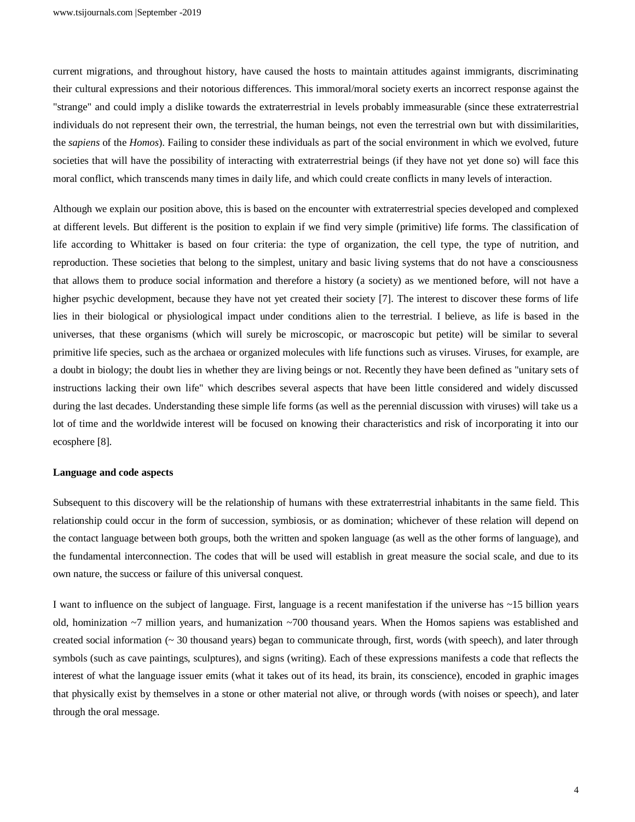current migrations, and throughout history, have caused the hosts to maintain attitudes against immigrants, discriminating their cultural expressions and their notorious differences. This immoral/moral society exerts an incorrect response against the "strange" and could imply a dislike towards the extraterrestrial in levels probably immeasurable (since these extraterrestrial individuals do not represent their own, the terrestrial, the human beings, not even the terrestrial own but with dissimilarities, the *sapiens* of the *Homos*). Failing to consider these individuals as part of the social environment in which we evolved, future societies that will have the possibility of interacting with extraterrestrial beings (if they have not yet done so) will face this moral conflict, which transcends many times in daily life, and which could create conflicts in many levels of interaction.

Although we explain our position above, this is based on the encounter with extraterrestrial species developed and complexed at different levels. But different is the position to explain if we find very simple (primitive) life forms. The classification of life according to Whittaker is based on four criteria: the type of organization, the cell type, the type of nutrition, and reproduction. These societies that belong to the simplest, unitary and basic living systems that do not have a consciousness that allows them to produce social information and therefore a history (a society) as we mentioned before, will not have a higher psychic development, because they have not yet created their society [7]. The interest to discover these forms of life lies in their biological or physiological impact under conditions alien to the terrestrial. I believe, as life is based in the universes, that these organisms (which will surely be microscopic, or macroscopic but petite) will be similar to several primitive life species, such as the archaea or organized molecules with life functions such as viruses. Viruses, for example, are a doubt in biology; the doubt lies in whether they are living beings or not. Recently they have been defined as "unitary sets of instructions lacking their own life" which describes several aspects that have been little considered and widely discussed during the last decades. Understanding these simple life forms (as well as the perennial discussion with viruses) will take us a lot of time and the worldwide interest will be focused on knowing their characteristics and risk of incorporating it into our ecosphere [8].

#### **Language and code aspects**

Subsequent to this discovery will be the relationship of humans with these extraterrestrial inhabitants in the same field. This relationship could occur in the form of succession, symbiosis, or as domination; whichever of these relation will depend on the contact language between both groups, both the written and spoken language (as well as the other forms of language), and the fundamental interconnection. The codes that will be used will establish in great measure the social scale, and due to its own nature, the success or failure of this universal conquest.

I want to influence on the subject of language. First, language is a recent manifestation if the universe has ~15 billion years old, hominization ~7 million years, and humanization ~700 thousand years. When the Homos sapiens was established and created social information  $\sim$  30 thousand years) began to communicate through, first, words (with speech), and later through symbols (such as cave paintings, sculptures), and signs (writing). Each of these expressions manifests a code that reflects the interest of what the language issuer emits (what it takes out of its head, its brain, its conscience), encoded in graphic images that physically exist by themselves in a stone or other material not alive, or through words (with noises or speech), and later through the oral message.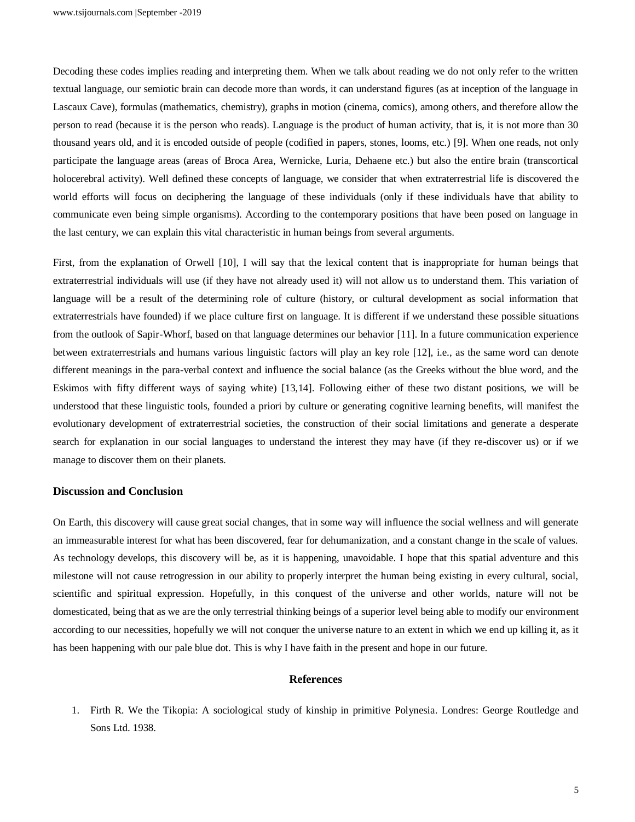Decoding these codes implies reading and interpreting them. When we talk about reading we do not only refer to the written textual language, our semiotic brain can decode more than words, it can understand figures (as at inception of the language in Lascaux Cave), formulas (mathematics, chemistry), graphs in motion (cinema, comics), among others, and therefore allow the person to read (because it is the person who reads). Language is the product of human activity, that is, it is not more than 30 thousand years old, and it is encoded outside of people (codified in papers, stones, looms, etc.) [9]. When one reads, not only participate the language areas (areas of Broca Area, Wernicke, Luria, Dehaene etc.) but also the entire brain (transcortical holocerebral activity). Well defined these concepts of language, we consider that when extraterrestrial life is discovered the world efforts will focus on deciphering the language of these individuals (only if these individuals have that ability to communicate even being simple organisms). According to the contemporary positions that have been posed on language in the last century, we can explain this vital characteristic in human beings from several arguments.

First, from the explanation of Orwell [10], I will say that the lexical content that is inappropriate for human beings that extraterrestrial individuals will use (if they have not already used it) will not allow us to understand them. This variation of language will be a result of the determining role of culture (history, or cultural development as social information that extraterrestrials have founded) if we place culture first on language. It is different if we understand these possible situations from the outlook of Sapir-Whorf, based on that language determines our behavior [11]. In a future communication experience between extraterrestrials and humans various linguistic factors will play an key role [12], i.e., as the same word can denote different meanings in the para-verbal context and influence the social balance (as the Greeks without the blue word, and the Eskimos with fifty different ways of saying white) [13,14]. Following either of these two distant positions, we will be understood that these linguistic tools, founded a priori by culture or generating cognitive learning benefits, will manifest the evolutionary development of extraterrestrial societies, the construction of their social limitations and generate a desperate search for explanation in our social languages to understand the interest they may have (if they re-discover us) or if we manage to discover them on their planets.

### **Discussion and Conclusion**

On Earth, this discovery will cause great social changes, that in some way will influence the social wellness and will generate an immeasurable interest for what has been discovered, fear for dehumanization, and a constant change in the scale of values. As technology develops, this discovery will be, as it is happening, unavoidable. I hope that this spatial adventure and this milestone will not cause retrogression in our ability to properly interpret the human being existing in every cultural, social, scientific and spiritual expression. Hopefully, in this conquest of the universe and other worlds, nature will not be domesticated, being that as we are the only terrestrial thinking beings of a superior level being able to modify our environment according to our necessities, hopefully we will not conquer the universe nature to an extent in which we end up killing it, as it has been happening with our pale blue dot. This is why I have faith in the present and hope in our future.

#### **References**

1. Firth R. We the Tikopia: A sociological study of kinship in primitive Polynesia. Londres: George Routledge and Sons Ltd. 1938.